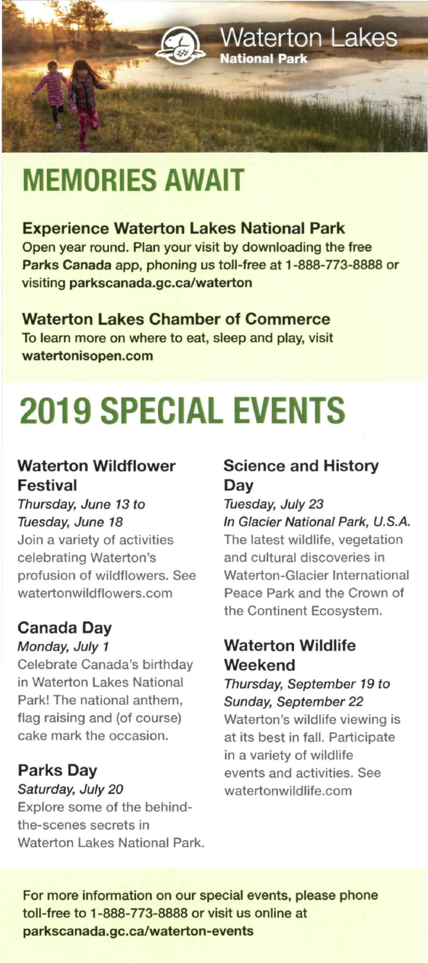

## **MEMORIES AWAIT**

#### **Experience Waterton Lakes National Park**

Open year round. Plan your visit by downloading the free **Parks Canada** app, phoning us toll-free at 1 -888-773-8888 or visiting **parkscanada.gc.ca/waterton** 

#### **Waterton Lakes Chamber of Commerce**

To learn more on where to eat, sleep and play, visit **[watertonisopen.com](http://watertonisopen.com)** 

# **2019 SPECIAL EVENTS**

#### **Waterton Wildflower Festival**

Thursday, June 13 to Tuesday, June 18

Join a variety of activities celebrating Waterton's profusion of wildflowers. See [watertonwildflowers.com](http://watertonwildflowers.com) 

#### **Canada Day**

#### Monday, July 1

Celebrate Canada's birthday in Waterton Lakes National Park! The national anthem, flag raising and (of course) cake mark the occasion.

#### **Parks Day**

#### Saturday, July 20

Explore some of the behindthe-scenes secrets in Waterton Lakes National Park.

#### **Science and History Day**

#### Tuesday, July 23

In Glacier National Park, U.S.A. The latest wildlife, vegetation and cultural discoveries in Waterton-Glacier International Peace Park and the Crown of the Continent Ecosystem.

#### **Waterton Wildlife Weekend**

#### Thursday, September 19 to Sunday, September 22

Waterton's wildlife viewing is at its best in fall. Participate in a variety of wildlife events and activities. See [watertonwildlife.com](http://watertonwildlife.com) 

For more information on our special events, please phone toll-free to 1 -888-773-8888 or visit us online at parkscanada.gc.ca/waterton-events